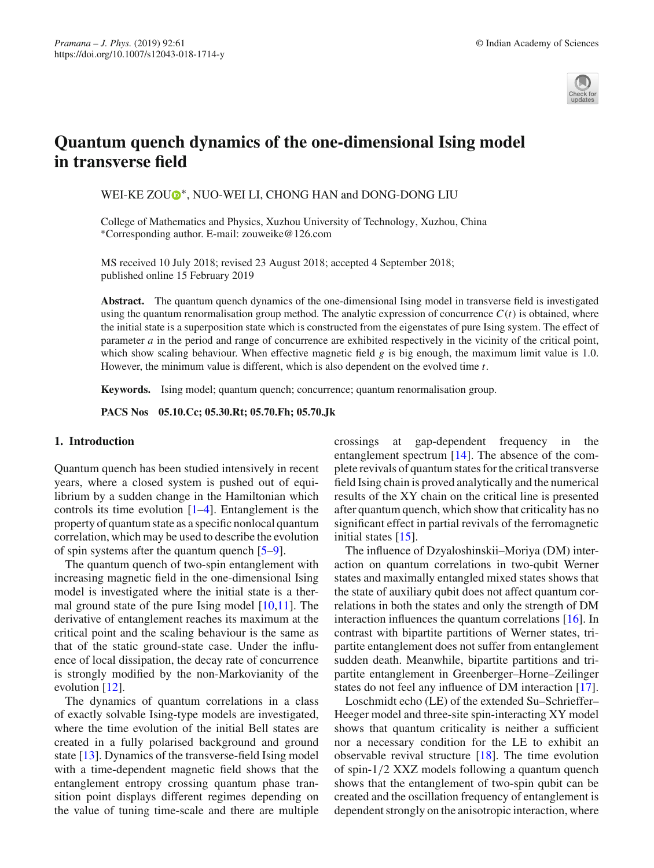

# **Quantum quench dynamics of the one-dimensional Ising model in transverse field**

WEI-KE ZO[U](http://orcid.org/0000-0003-4559-8512)<sup>®</sup>\*, NUO-WEI LI, CHONG HAN and DONG-DONG LIU

College of Mathematics and Physics, Xuzhou University of Technology, Xuzhou, China ∗Corresponding author. E-mail: zouweike@126.com

MS received 10 July 2018; revised 23 August 2018; accepted 4 September 2018; published online 15 February 2019

**Abstract.** The quantum quench dynamics of the one-dimensional Ising model in transverse field is investigated using the quantum renormalisation group method. The analytic expression of concurrence  $C(t)$  is obtained, where the initial state is a superposition state which is constructed from the eigenstates of pure Ising system. The effect of parameter *a* in the period and range of concurrence are exhibited respectively in the vicinity of the critical point, which show scaling behaviour. When effective magnetic field *g* is big enough, the maximum limit value is 1.0. However, the minimum value is different, which is also dependent on the evolved time *t*.

**Keywords.** Ising model; quantum quench; concurrence; quantum renormalisation group.

**PACS Nos 05.10.Cc; 05.30.Rt; 05.70.Fh; 05.70.Jk**

### **1. Introduction**

Quantum quench has been studied intensively in recent years, where a closed system is pushed out of equilibrium by a sudden change in the Hamiltonian which controls its time evolution  $[1-4]$  $[1-4]$ . Entanglement is the property of quantum state as a specific nonlocal quantum correlation, which may be used to describe the evolution of spin systems after the quantum quench [\[5](#page-5-0)[–9](#page-5-1)].

The quantum quench of two-spin entanglement with increasing magnetic field in the one-dimensional Ising model is investigated where the initial state is a thermal ground state of the pure Ising model [\[10](#page-5-2)[,11\]](#page-5-3). The derivative of entanglement reaches its maximum at the critical point and the scaling behaviour is the same as that of the static ground-state case. Under the influence of local dissipation, the decay rate of concurrence is strongly modified by the non-Markovianity of the evolution [\[12\]](#page-5-4).

The dynamics of quantum correlations in a class of exactly solvable Ising-type models are investigated, where the time evolution of the initial Bell states are created in a fully polarised background and ground state [\[13](#page-5-5)]. Dynamics of the transverse-field Ising model with a time-dependent magnetic field shows that the entanglement entropy crossing quantum phase transition point displays different regimes depending on the value of tuning time-scale and there are multiple crossings at gap-dependent frequency in the entanglement spectrum [\[14](#page-5-6)]. The absence of the complete revivals of quantum states for the critical transverse field Ising chain is proved analytically and the numerical results of the XY chain on the critical line is presented after quantum quench, which show that criticality has no significant effect in partial revivals of the ferromagnetic initial states [\[15\]](#page-5-7).

The influence of Dzyaloshinskii–Moriya (DM) interaction on quantum correlations in two-qubit Werner states and maximally entangled mixed states shows that the state of auxiliary qubit does not affect quantum correlations in both the states and only the strength of DM interaction influences the quantum correlations [\[16](#page-5-8)]. In contrast with bipartite partitions of Werner states, tripartite entanglement does not suffer from entanglement sudden death. Meanwhile, bipartite partitions and tripartite entanglement in Greenberger–Horne–Zeilinger states do not feel any influence of DM interaction [\[17](#page-5-9)].

Loschmidt echo (LE) of the extended Su–Schrieffer– Heeger model and three-site spin-interacting XY model shows that quantum criticality is neither a sufficient nor a necessary condition for the LE to exhibit an observable revival structure [\[18](#page-5-10)]. The time evolution of spin-1/2 XXZ models following a quantum quench shows that the entanglement of two-spin qubit can be created and the oscillation frequency of entanglement is dependent strongly on the anisotropic interaction, where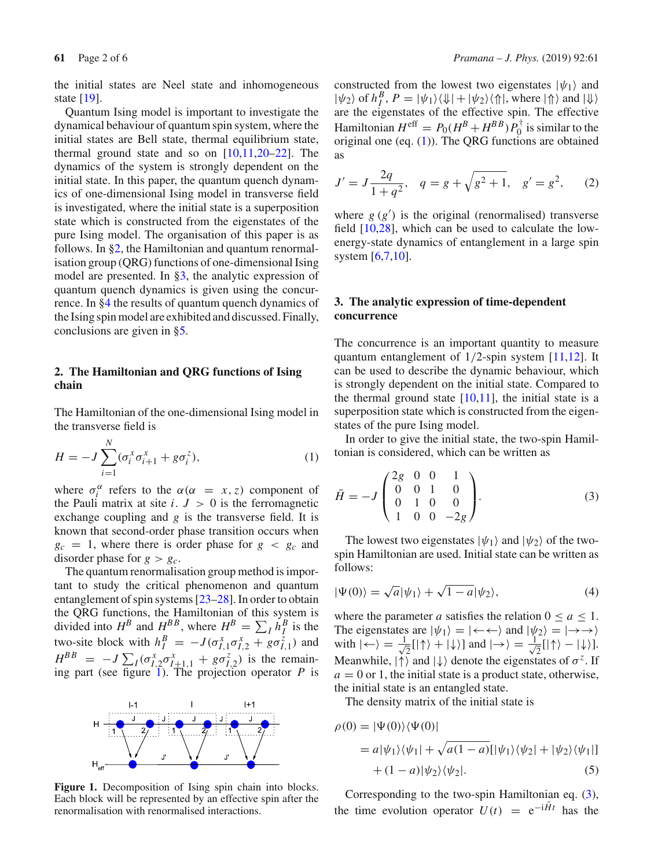the initial states are Neel state and inhomogeneous state [\[19\]](#page-5-11).

Quantum Ising model is important to investigate the dynamical behaviour of quantum spin system, where the initial states are Bell state, thermal equilibrium state, thermal ground state and so on  $[10,11,20-22]$  $[10,11,20-22]$  $[10,11,20-22]$  $[10,11,20-22]$ . The dynamics of the system is strongly dependent on the initial state. In this paper, the quantum quench dynamics of one-dimensional Ising model in transverse field is investigated, where the initial state is a superposition state which is constructed from the eigenstates of the pure Ising model. The organisation of this paper is as follows. In [§2,](#page-1-0) the Hamiltonian and quantum renormalisation group (QRG) functions of one-dimensional Ising model are presented. In [§3,](#page-1-1) the analytic expression of quantum quench dynamics is given using the concurrence. In [§4](#page-2-0) the results of quantum quench dynamics of the Ising spin model are exhibited and discussed. Finally, conclusions are given in [§5.](#page-4-2)

# <span id="page-1-0"></span>**2. The Hamiltonian and QRG functions of Ising chain**

The Hamiltonian of the one-dimensional Ising model in the transverse field is

<span id="page-1-3"></span>
$$
H = -J \sum_{i=1}^{N} (\sigma_i^x \sigma_{i+1}^x + g \sigma_i^z),
$$
 (1)

where  $\sigma_i^{\alpha}$  refers to the  $\alpha(\alpha = x, z)$  component of the Pauli matrix at site  $i$ .  $J > 0$  is the ferromagnetic exchange coupling and *g* is the transverse field. It is known that second-order phase transition occurs when  $g_c = 1$ , where there is order phase for  $g < g_c$  and disorder phase for  $g > g_c$ .

The quantum renormalisation group method is important to study the critical phenomenon and quantum entanglement of spin systems [\[23](#page-5-14)[–28\]](#page-5-15). In order to obtain the QRG functions, the Hamiltonian of this system is divided into  $H^B$  and  $H^{BB}$ , where  $H^B = \sum_l h_l^B$  is the two-site block with  $h_I^B = -J(\sigma_{I,1}^x \sigma_{I,2}^x + g \sigma_{I,1}^z)$  and  $H^{BB} = -J\sum_{I}(\sigma_{I,2}^{x}\sigma_{I+1,1}^{x} + g\sigma_{I,2}^{z})$  is the remaining part (see figure [1\)](#page-1-2). The projection operator *P* is



<span id="page-1-2"></span>**Figure 1.** Decomposition of Ising spin chain into blocks. Each block will be represented by an effective spin after the renormalisation with renormalised interactions.

constructed from the lowest two eigenstates  $|\psi_1\rangle$  and  $|\psi_2\rangle$  of  $h_I^B$ ,  $P = |\psi_1\rangle \langle \psi_1| + |\psi_2\rangle \langle \Uparrow|$ , where  $|\Uparrow\rangle$  and  $|\psi\rangle$ are the eigenstates of the effective spin. The effective Hamiltonian  $H^{\text{eff}} = P_0(H^B + H^{BB}) P_0^{\dagger}$  is similar to the original one (eq.  $(1)$ ). The ORG functions are obtained as

<span id="page-1-6"></span>
$$
J' = J \frac{2q}{1+q^2}, \quad q = g + \sqrt{g^2 + 1}, \quad g' = g^2, \tag{2}
$$

where  $g(g')$  is the original (renormalised) transverse field [\[10](#page-5-2)[,28](#page-5-15)], which can be used to calculate the lowenergy-state dynamics of entanglement in a large spin system [\[6](#page-5-16)[,7](#page-5-17)[,10\]](#page-5-2).

## <span id="page-1-1"></span>**3. The analytic expression of time-dependent concurrence**

The concurrence is an important quantity to measure quantum entanglement of 1/2-spin system [\[11](#page-5-3)[,12](#page-5-4)]. It can be used to describe the dynamic behaviour, which is strongly dependent on the initial state. Compared to the thermal ground state  $[10,11]$  $[10,11]$  $[10,11]$ , the initial state is a superposition state which is constructed from the eigenstates of the pure Ising model.

In order to give the initial state, the two-spin Hamiltonian is considered, which can be written as

<span id="page-1-4"></span>
$$
\bar{H} = -J \begin{pmatrix} 2g & 0 & 0 & 1 \\ 0 & 0 & 1 & 0 \\ 0 & 1 & 0 & 0 \\ 1 & 0 & 0 & -2g \end{pmatrix} . \tag{3}
$$

The lowest two eigenstates  $|\psi_1\rangle$  and  $|\psi_2\rangle$  of the twospin Hamiltonian are used. Initial state can be written as follows:

$$
|\Psi(0)\rangle = \sqrt{a}|\psi_1\rangle + \sqrt{1-a}|\psi_2\rangle, \tag{4}
$$

where the parameter *a* satisfies the relation  $0 \le a \le 1$ . The eigenstates are  $|\psi_1\rangle = | \leftarrow \leftarrow \rangle$  and  $|\psi_2\rangle = | \rightarrow \rightarrow \rangle$ with  $|\leftarrow\rangle = \frac{1}{\sqrt{2}}$  $\frac{1}{2}$ [|↑) + |↓)] and  $|\rightarrow\rangle = \frac{1}{\sqrt{2}}$  $\frac{1}{2}$ [|↑ $\rangle - |\downarrow\rangle$ ]. Meanwhile,  $|\uparrow\rangle$  and  $|\downarrow\rangle$  denote the eigenstates of  $\sigma^z$ . If  $a = 0$  or 1, the initial state is a product state, otherwise, the initial state is an entangled state.

The density matrix of the initial state is

<span id="page-1-5"></span>
$$
\rho(0) = |\Psi(0)\rangle\langle\Psi(0)|
$$
  
=  $a|\psi_1\rangle\langle\psi_1| + \sqrt{a(1-a)}[|\psi_1\rangle\langle\psi_2| + |\psi_2\rangle\langle\psi_1|]$   
+  $(1-a)|\psi_2\rangle\langle\psi_2|$ . (5)

Corresponding to the two-spin Hamiltonian eq. [\(3\)](#page-1-4), the time evolution operator  $U(t) = e^{-i\vec{H}t}$  has the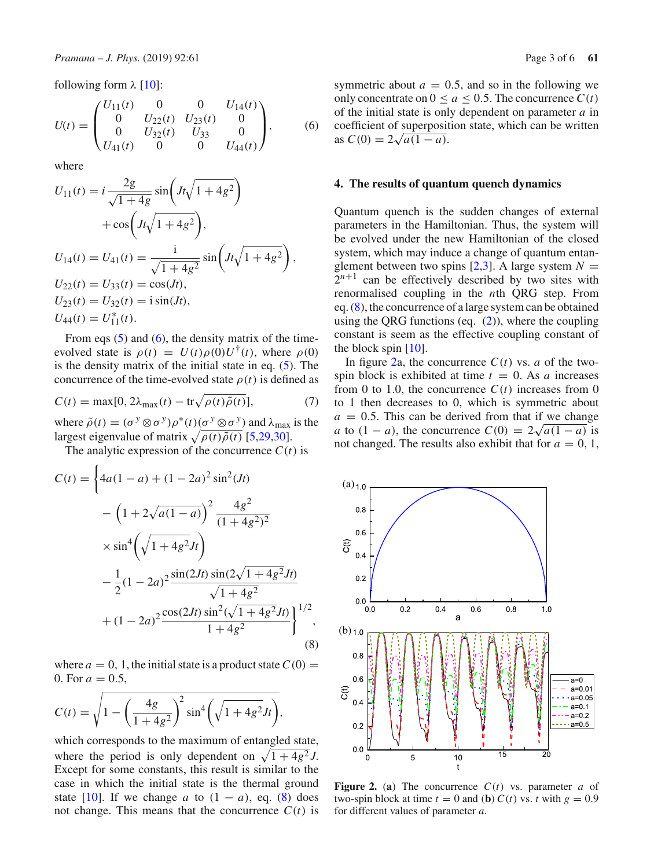following form  $\lambda$  [\[10\]](#page-5-2):

<span id="page-2-1"></span>
$$
U(t) = \begin{pmatrix} U_{11}(t) & 0 & 0 & U_{14}(t) \\ 0 & U_{22}(t) & U_{23}(t) & 0 \\ 0 & U_{32}(t) & U_{33} & 0 \\ U_{41}(t) & 0 & 0 & U_{44}(t) \end{pmatrix}, \quad (6)
$$

where

$$
U_{11}(t) = i \frac{2g}{\sqrt{1+4g}} \sin\left(Jt\sqrt{1+4g^2}\right)
$$
  
+  $\cos\left(Jt\sqrt{1+4g^2}\right)$ ,  

$$
U_{14}(t) = U_{41}(t) = \frac{i}{\sqrt{1+4g^2}} \sin\left(Jt\sqrt{1+4g^2}\right),
$$
  

$$
U_{22}(t) = U_{33}(t) = \cos(Jt),
$$
  

$$
U_{23}(t) = U_{32}(t) = i \sin(Jt),
$$
  

$$
U_{44}(t) = U_{11}^*(t).
$$

From eqs  $(5)$  and  $(6)$ , the density matrix of the timeevolved state is  $\rho(t) = U(t)\rho(0)U^{\dagger}(t)$ , where  $\rho(0)$ is the density matrix of the initial state in eq. [\(5\)](#page-1-5). The concurrence of the time-evolved state  $\rho(t)$  is defined as

$$
C(t) = \max[0, 2\lambda_{\max}(t) - \text{tr}\sqrt{\rho(t)\tilde{\rho}(t)}],\tag{7}
$$

where  $\tilde{\rho}(t) = (\sigma^y \otimes \sigma^y) \rho^*(t) (\sigma^y \otimes \sigma^y)$  and  $\lambda_{\text{max}}$  is the largest eigenvalue of matrix  $\sqrt{\rho(t)\tilde{\rho}(t)}$  [\[5](#page-5-0)[,29](#page-5-18)[,30](#page-5-19)].

The analytic expression of the concurrence  $C(t)$  is

<span id="page-2-2"></span>
$$
C(t) = \left\{ 4a(1-a) + (1-2a)^2 \sin^2(Jt) - \left(1 + 2\sqrt{a(1-a)}\right)^2 \frac{4g^2}{(1+4g^2)^2} \right\}
$$

$$
\times \sin^4\left(\sqrt{1+4g^2}Jt\right)
$$

$$
-\frac{1}{2}(1-2a)^2 \frac{\sin(2Jt)\sin(2\sqrt{1+4g^2}Jt)}{\sqrt{1+4g^2}} + (1-2a)^2 \frac{\cos(2Jt)\sin^2(\sqrt{1+4g^2}Jt)}{1+4g^2} \right\}^{1/2},
$$
(8)

where  $a = 0, 1$ , the initial state is a product state  $C(0) =$ 0. For  $a = 0.5$ ,

$$
C(t) = \sqrt{1 - \left(\frac{4g}{1 + 4g^2}\right)^2 \sin^4\left(\sqrt{1 + 4g^2} Jt\right)},
$$

which corresponds to the maximum of entangled state, where the period is only dependent on  $\sqrt{1 + 4g^2} J$ . Except for some constants, this result is similar to the case in which the initial state is the thermal ground state [\[10](#page-5-2)]. If we change *a* to  $(1 - a)$ , eq. [\(8\)](#page-2-2) does not change. This means that the concurrence  $C(t)$  is symmetric about  $a = 0.5$ , and so in the following we only concentrate on  $0 \le a \le 0.5$ . The concurrence  $C(t)$ of the initial state is only dependent on parameter *a* in coefficient of superposition state, which can be written  $\csc$   $\csc$   $\csc$   $\csc$   $\csc$   $\csc$   $\csc$   $\csc$   $\csc$   $\csc$   $\csc$   $\csc$   $\csc$   $\csc$   $\csc$   $\csc$   $\csc$   $\csc$   $\csc$   $\csc$   $\csc$   $\csc$   $\csc$   $\csc$   $\csc$   $\csc$   $\csc$   $\csc$   $\csc$   $\csc$   $\csc$   $\csc$   $\csc$   $\csc$   $\csc$   $\csc$   $\csc$ 

#### <span id="page-2-0"></span>**4. The results of quantum quench dynamics**

Quantum quench is the sudden changes of external parameters in the Hamiltonian. Thus, the system will be evolved under the new Hamiltonian of the closed system, which may induce a change of quantum entanglement between two spins  $[2,3]$  $[2,3]$  $[2,3]$ . A large system  $N =$  $2^{n+1}$  can be effectively described by two sites with renormalised coupling in the *n*th QRG step. From eq. [\(8\)](#page-2-2), the concurrence of a large system can be obtained using the QRG functions (eq.  $(2)$ ), where the coupling constant is seem as the effective coupling constant of the block spin  $[10]$  $[10]$ .

In figure [2a](#page-2-3), the concurrence  $C(t)$  vs. *a* of the twospin block is exhibited at time  $t = 0$ . As *a* increases from 0 to 1.0, the concurrence  $C(t)$  increases from 0 to 1 then decreases to 0, which is symmetric about  $a = 0.5$ . This can be derived from that if we change *a* to  $(1 - a)$ , the concurrence  $C(0) = 2\sqrt{a(1 - a)}$  is not changed. The results also exhibit that for  $a = 0, 1$ ,



<span id="page-2-3"></span>**Figure 2.** (a) The concurrence  $C(t)$  vs. parameter *a* of two-spin block at time  $t = 0$  and (**b**)  $C(t)$  vs. *t* with  $g = 0.9$ for different values of parameter *a*.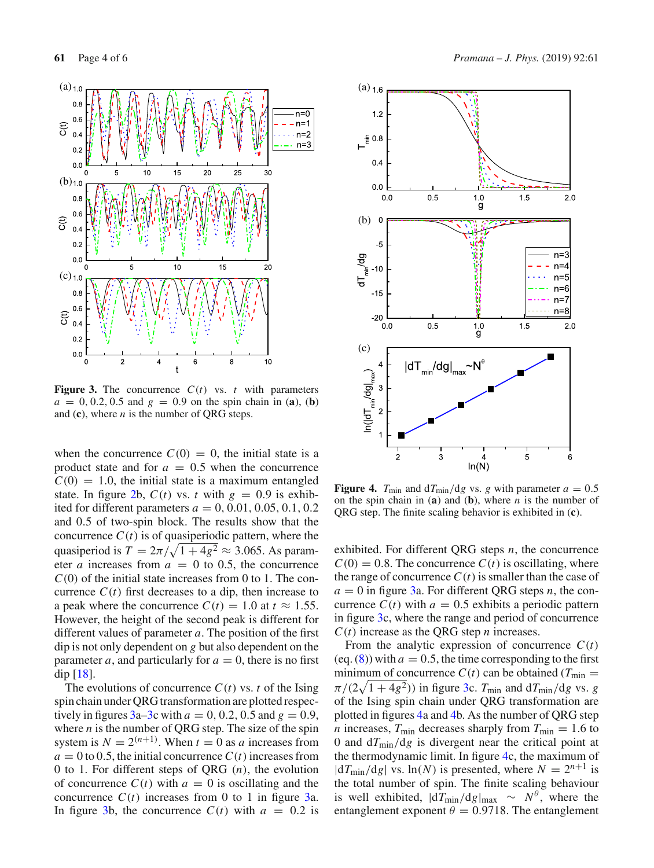

<span id="page-3-0"></span>**Figure 3.** The concurrence  $C(t)$  vs. *t* with parameters  $a = 0, 0.2, 0.5$  and  $g = 0.9$  on the spin chain in (**a**), (**b**) and (**c**), where *n* is the number of QRG steps.

when the concurrence  $C(0) = 0$ , the initial state is a product state and for  $a = 0.5$  when the concurrence  $C(0) = 1.0$ , the initial state is a maximum entangled state. In figure [2b](#page-2-3),  $C(t)$  vs. *t* with  $g = 0.9$  is exhibited for different parameters  $a = 0, 0.01, 0.05, 0.1, 0.2$ and 0.5 of two-spin block. The results show that the concurrence  $C(t)$  is of quasiperiodic pattern, where the quasiperiod is  $T = 2\pi/\sqrt{1+4g^2} \approx 3.065$ . As parameter *a* increases from  $a = 0$  to 0.5, the concurrence *C*(0) of the initial state increases from 0 to 1. The concurrence  $C(t)$  first decreases to a dip, then increase to a peak where the concurrence  $C(t) = 1.0$  at  $t \approx 1.55$ . However, the height of the second peak is different for different values of parameter *a*. The position of the first dip is not only dependent on *g* but also dependent on the parameter *a*, and particularly for  $a = 0$ , there is no first dip [\[18\]](#page-5-10).

The evolutions of concurrence  $C(t)$  vs. *t* of the Ising spin chain under QRG transformation are plotted respectively in figures  $3a-3c$  with  $a = 0, 0.2, 0.5$  and  $g = 0.9$ , where  $n$  is the number of QRG step. The size of the spin system is  $N = 2^{(n+1)}$ . When  $t = 0$  as *a* increases from  $a = 0$  to 0.5, the initial concurrence  $C(t)$  increases from 0 to 1. For different steps of QRG (*n*), the evolution of concurrence  $C(t)$  with  $a = 0$  is oscillating and the concurrence  $C(t)$  increases from 0 to 1 in figure [3a](#page-3-0). In figure [3b](#page-3-0), the concurrence  $C(t)$  with  $a = 0.2$  is



<span id="page-3-1"></span>**Figure 4.**  $T_{\text{min}}$  and  $dT_{\text{min}}/dg$  vs. *g* with parameter  $a = 0.5$ on the spin chain in (**a**) and (**b**), where *n* is the number of QRG step. The finite scaling behavior is exhibited in (**c**).

exhibited. For different QRG steps *n*, the concurrence  $C(0) = 0.8$ . The concurrence  $C(t)$  is oscillating, where the range of concurrence  $C(t)$  is smaller than the case of  $a = 0$  in figure [3a](#page-3-0). For different QRG steps *n*, the concurrence  $C(t)$  with  $a = 0.5$  exhibits a periodic pattern in figure [3c](#page-3-0), where the range and period of concurrence  $C(t)$  increase as the QRG step *n* increases.

From the analytic expression of concurrence  $C(t)$ (eq.  $(8)$ ) with  $a = 0.5$ , the time corresponding to the first minimum of concurrence  $C(t)$  can be obtained ( $T_{min}$  =  $\pi/(2\sqrt{1+4g^2})$  in figure [3c](#page-3-0).  $T_{\text{min}}$  and  $dT_{\text{min}}/dg$  vs. *g* of the Ising spin chain under QRG transformation are plotted in figures [4a](#page-3-1) and [4b](#page-3-1). As the number of QRG step *n* increases,  $T_{\text{min}}$  decreases sharply from  $T_{\text{min}} = 1.6$  to 0 and  $dT_{\text{min}}/dg$  is divergent near the critical point at the thermodynamic limit. In figure [4c](#page-3-1), the maximum of  $|dT_{min}/dg|$  vs.  $ln(N)$  is presented, where  $N = 2^{n+1}$  is the total number of spin. The finite scaling behaviour is well exhibited,  $|d\hat{T}_{min}/dg|_{max} \sim N^{\theta}$ , where the entanglement exponent  $\theta = 0.9718$ . The entanglement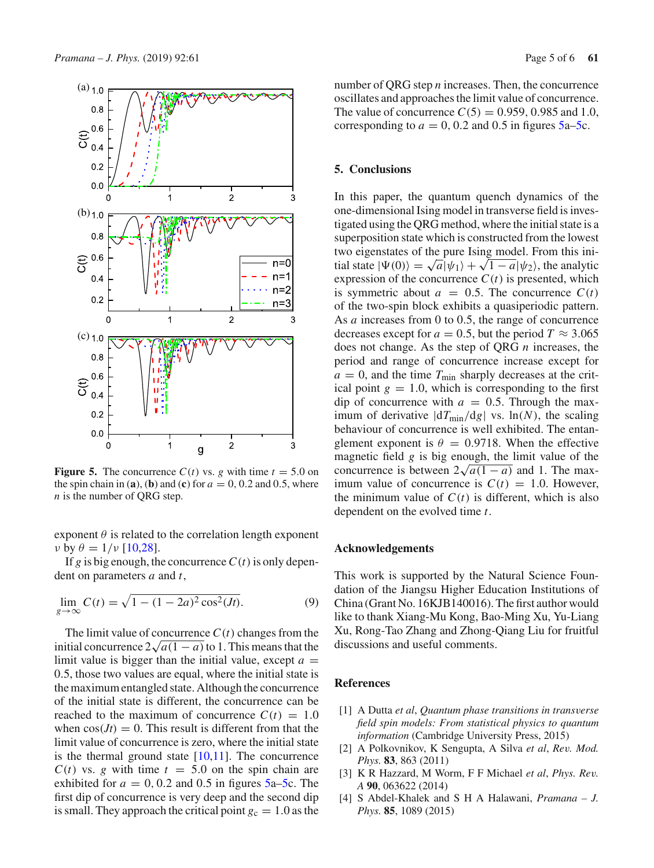

<span id="page-4-5"></span>**Figure 5.** The concurrence  $C(t)$  vs. *g* with time  $t = 5.0$  on the spin chain in (**a**), (**b**) and (**c**) for  $a = 0, 0.2$  and 0.5, where *n* is the number of QRG step.

exponent  $\theta$  is related to the correlation length exponent  $\nu$  by  $\theta = 1/\nu$  [\[10](#page-5-2)[,28\]](#page-5-15).

If *g* is big enough, the concurrence  $C(t)$  is only dependent on parameters *a* and *t*,

$$
\lim_{g \to \infty} C(t) = \sqrt{1 - (1 - 2a)^2 \cos^2(Jt)}.
$$
\n(9)

The limit value of concurrence  $C(t)$  changes from the initial concurrence  $2\sqrt{a(1-a)}$  to 1. This means that the limit value is bigger than the initial value, except  $a =$ 0.5, those two values are equal, where the initial state is the maximum entangled state. Although the concurrence of the initial state is different, the concurrence can be reached to the maximum of concurrence  $C(t) = 1.0$ when  $cos(Jt) = 0$ . This result is different from that the limit value of concurrence is zero, where the initial state is the thermal ground state  $[10,11]$  $[10,11]$ . The concurrence  $C(t)$  vs. *g* with time  $t = 5.0$  on the spin chain are exhibited for  $a = 0, 0.2$  and 0.5 in figures  $5a-5c$ . The first dip of concurrence is very deep and the second dip is small. They approach the critical point  $g_c = 1.0$  as the number of QRG step *n* increases. Then, the concurrence oscillates and approaches the limit value of concurrence. The value of concurrence  $C(5) = 0.959, 0.985$  and 1.0, corresponding to  $a = 0, 0.2$  and 0.5 in figures  $5a-5c$ .

#### <span id="page-4-2"></span>**5. Conclusions**

In this paper, the quantum quench dynamics of the one-dimensional Ising model in transverse field is investigated using the QRG method, where the initial state is a superposition state which is constructed from the lowest two eigenstates of the pure Ising model. From this initial state  $|\Psi(0)\rangle = \sqrt{a}|\psi_1\rangle + \sqrt{1-a}|\psi_2\rangle$ , the analytic expression of the concurrence  $C(t)$  is presented, which is symmetric about  $a = 0.5$ . The concurrence  $C(t)$ of the two-spin block exhibits a quasiperiodic pattern. As *a* increases from 0 to 0.5, the range of concurrence decreases except for  $a = 0.5$ , but the period  $T \approx 3.065$ does not change. As the step of QRG *n* increases, the period and range of concurrence increase except for  $a = 0$ , and the time  $T_{\text{min}}$  sharply decreases at the critical point  $g = 1.0$ , which is corresponding to the first dip of concurrence with  $a = 0.5$ . Through the maximum of derivative  $|dT_{min}/dg|$  vs.  $ln(N)$ , the scaling behaviour of concurrence is well exhibited. The entanglement exponent is  $\theta = 0.9718$ . When the effective magnetic field *g* is big enough, the limit value of the concurrence is between  $2\sqrt{a(1-a)}$  and 1. The maximum value of concurrence is  $C(t) = 1.0$ . However, the minimum value of  $C(t)$  is different, which is also dependent on the evolved time *t*.

#### **Acknowledgements**

This work is supported by the Natural Science Foundation of the Jiangsu Higher Education Institutions of China (Grant No. 16KJB140016). The first author would like to thank Xiang-Mu Kong, Bao-Ming Xu, Yu-Liang Xu, Rong-Tao Zhang and Zhong-Qiang Liu for fruitful discussions and useful comments.

### **References**

- <span id="page-4-0"></span>[1] A Dutta *et al*, *Quantum phase transitions in transverse field spin models: From statistical physics to quantum information* (Cambridge University Press, 2015)
- <span id="page-4-3"></span>[2] A Polkovnikov, K Sengupta, A Silva *et al*, *Rev. Mod. Phys.* **83**, 863 (2011)
- <span id="page-4-4"></span>[3] K R Hazzard, M Worm, F F Michael *et al*, *Phys. Rev. A* **90**, 063622 (2014)
- <span id="page-4-1"></span>[4] S Abdel-Khalek and S H A Halawani, *Pramana – J. Phys.* **85**, 1089 (2015)